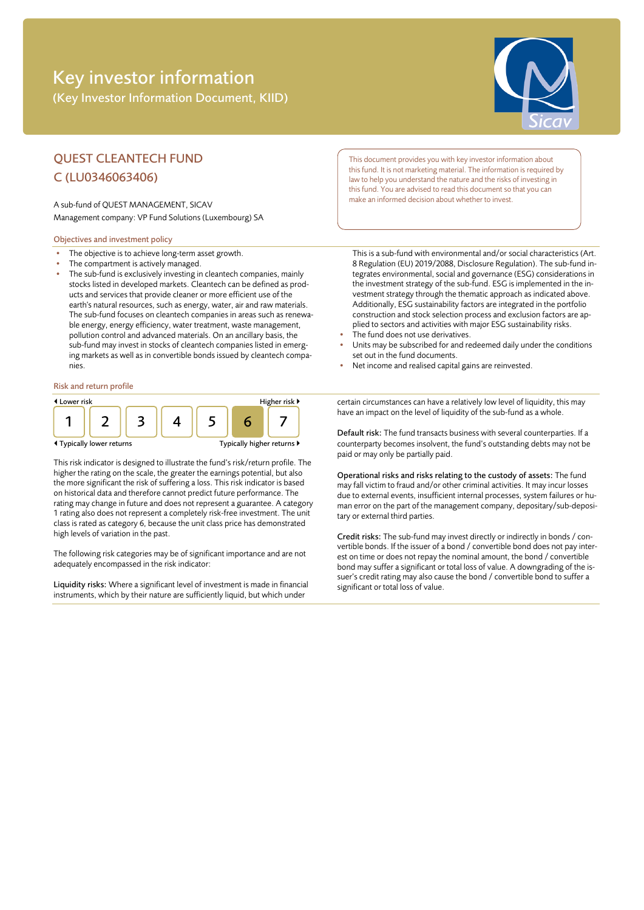# Key investor information (Key Investor Information Document, KIID)



## QUEST CLEANTECH FUND C (LU0346063406)

A sub-fund of QUEST MANAGEMENT, SICAV Management company: VP Fund Solutions (Luxembourg) SA

#### Objectives and investment policy

- The objective is to achieve long-term asset growth.
- The compartment is actively managed.
- The sub-fund is exclusively investing in cleantech companies, mainly stocks listed in developed markets. Cleantech can be defined as products and services that provide cleaner or more efficient use of the earth's natural resources, such as energy, water, air and raw materials. The sub-fund focuses on cleantech companies in areas such as renewable energy, energy efficiency, water treatment, waste management, pollution control and advanced materials. On an ancillary basis, the sub-fund may invest in stocks of cleantech companies listed in emerging markets as well as in convertible bonds issued by cleantech companies.

#### Risk and return profile



This risk indicator is designed to illustrate the fund's risk/return profile. The higher the rating on the scale, the greater the earnings potential, but also the more significant the risk of suffering a loss. This risk indicator is based on historical data and therefore cannot predict future performance. The rating may change in future and does not represent a guarantee. A category 1 rating also does not represent a completely risk-free investment. The unit class is rated as category 6, because the unit class price has demonstrated high levels of variation in the past.

The following risk categories may be of significant importance and are not adequately encompassed in the risk indicator:

Liquidity risks: Where a significant level of investment is made in financial instruments, which by their nature are sufficiently liquid, but which under

This document provides you with key investor information about this fund. It is not marketing material. The information is required by law to help you understand the nature and the risks of investing in this fund. You are advised to read this document so that you can make an informed decision about whether to invest.

This is a sub-fund with environmental and/or social characteristics (Art. 8 Regulation (EU) 2019/2088, Disclosure Regulation). The sub-fund integrates environmental, social and governance (ESG) considerations in the investment strategy of the sub-fund. ESG is implemented in the investment strategy through the thematic approach as indicated above. Additionally, ESG sustainability factors are integrated in the portfolio construction and stock selection process and exclusion factors are applied to sectors and activities with major ESG sustainability risks.

- The fund does not use derivatives.
- Units may be subscribed for and redeemed daily under the conditions set out in the fund documents.
- Net income and realised capital gains are reinvested.

certain circumstances can have a relatively low level of liquidity, this may have an impact on the level of liquidity of the sub-fund as a whole.

Default risk: The fund transacts business with several counterparties. If a counterparty becomes insolvent, the fund's outstanding debts may not be paid or may only be partially paid.

Operational risks and risks relating to the custody of assets: The fund may fall victim to fraud and/or other criminal activities. It may incur losses due to external events, insufficient internal processes, system failures or human error on the part of the management company, depositary/sub-depositary or external third parties.

Credit risks: The sub-fund may invest directly or indirectly in bonds / convertible bonds. If the issuer of a bond / convertible bond does not pay interest on time or does not repay the nominal amount, the bond / convertible bond may suffer a significant or total loss of value. A downgrading of the issuer's credit rating may also cause the bond / convertible bond to suffer a significant or total loss of value.